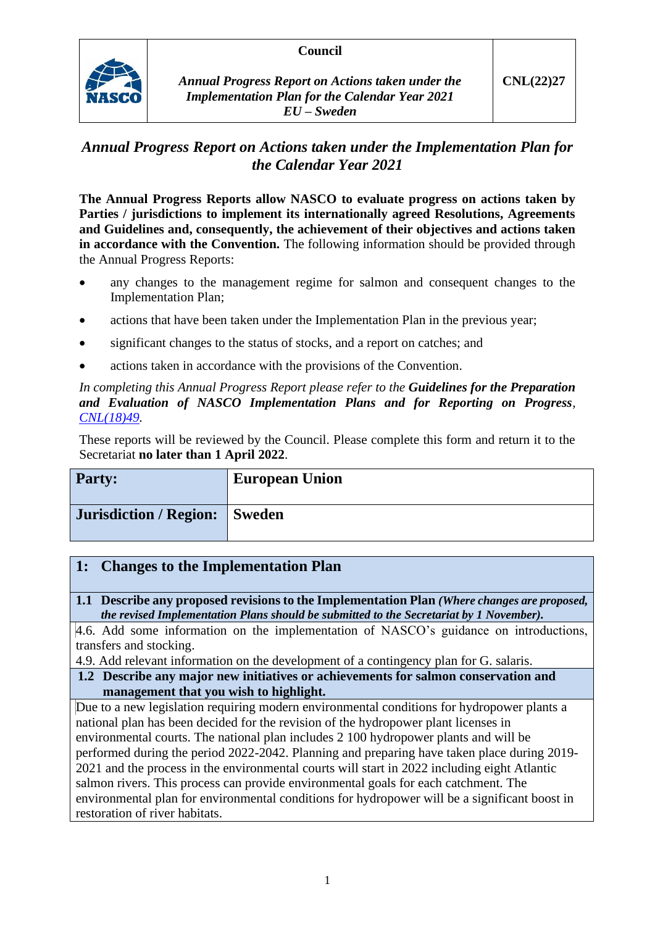## **Council**



*Annual Progress Report on Actions taken under the Implementation Plan for the Calendar Year 2021 EU – Sweden*

# *Annual Progress Report on Actions taken under the Implementation Plan for the Calendar Year 2021*

**The Annual Progress Reports allow NASCO to evaluate progress on actions taken by Parties / jurisdictions to implement its internationally agreed Resolutions, Agreements and Guidelines and, consequently, the achievement of their objectives and actions taken in accordance with the Convention.** The following information should be provided through the Annual Progress Reports:

- any changes to the management regime for salmon and consequent changes to the Implementation Plan;
- actions that have been taken under the Implementation Plan in the previous year;
- significant changes to the status of stocks, and a report on catches; and
- actions taken in accordance with the provisions of the Convention.

*In completing this Annual Progress Report please refer to the Guidelines for the Preparation and Evaluation of NASCO Implementation Plans and for Reporting on Progress, [CNL\(18\)49.](https://nasco.int/wp-content/uploads/2020/02/CNL1849_Guidelines-for-the-Preparation-and-Evaluation-of-NASCO-Implementation-Plans-and-for-Reporting-on-Progress.pdf)*

These reports will be reviewed by the Council. Please complete this form and return it to the Secretariat **no later than 1 April 2022**.

| <b>Party:</b>                 | <b>European Union</b> |
|-------------------------------|-----------------------|
| Jurisdiction / Region: Sweden |                       |

## **1: Changes to the Implementation Plan**

**1.1 Describe any proposed revisions to the Implementation Plan** *(Where changes are proposed, the revised Implementation Plans should be submitted to the Secretariat by 1 November).*

4.6. Add some information on the implementation of NASCO's guidance on introductions, transfers and stocking.

4.9. Add relevant information on the development of a contingency plan for G. salaris.

**1.2 Describe any major new initiatives or achievements for salmon conservation and management that you wish to highlight.**

Due to a new legislation requiring modern environmental conditions for hydropower plants a national plan has been decided for the revision of the hydropower plant licenses in environmental courts. The national plan includes 2 100 hydropower plants and will be performed during the period 2022-2042. Planning and preparing have taken place during 2019- 2021 and the process in the environmental courts will start in 2022 including eight Atlantic salmon rivers. This process can provide environmental goals for each catchment. The environmental plan for environmental conditions for hydropower will be a significant boost in restoration of river habitats.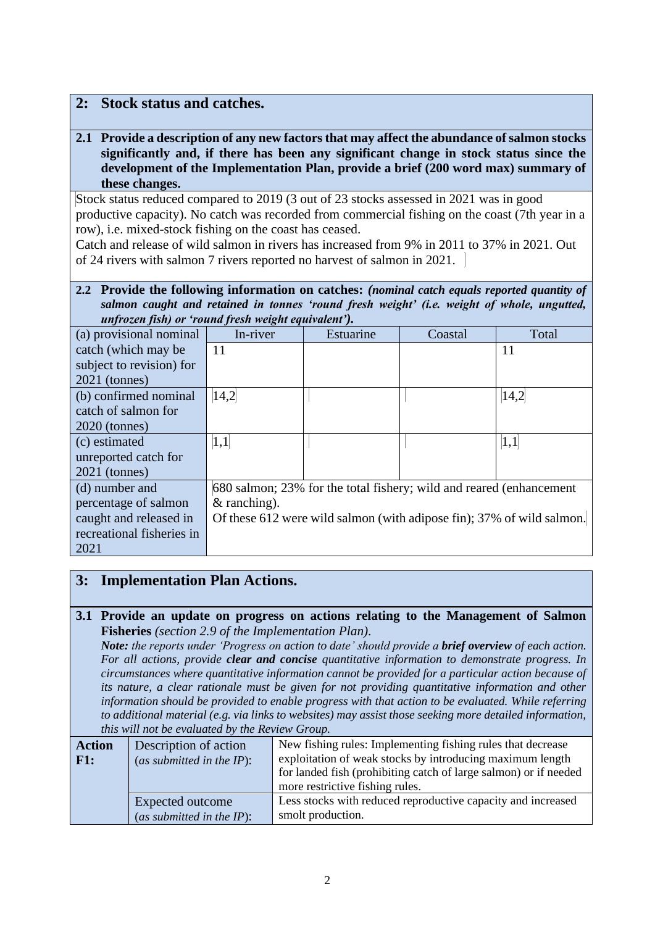## **2: Stock status and catches.**

**2.1 Provide a description of any new factors that may affect the abundance of salmon stocks significantly and, if there has been any significant change in stock status since the development of the Implementation Plan, provide a brief (200 word max) summary of these changes.**

Stock status reduced compared to 2019 (3 out of 23 stocks assessed in 2021 was in good productive capacity). No catch was recorded from commercial fishing on the coast (7th year in a row), i.e. mixed-stock fishing on the coast has ceased.

Catch and release of wild salmon in rivers has increased from 9% in 2011 to 37% in 2021. Out of 24 rivers with salmon 7 rivers reported no harvest of salmon in 2021.

#### **2.2 Provide the following information on catches:** *(nominal catch equals reported quantity of salmon caught and retained in tonnes 'round fresh weight' (i.e. weight of whole, ungutted, unfrozen fish) or 'round fresh weight equivalent').*

| (a) provisional nominal   | In-river                                                              | Estuarine | Coastal | Total |
|---------------------------|-----------------------------------------------------------------------|-----------|---------|-------|
| catch (which may be       | 11                                                                    |           |         | 11    |
| subject to revision) for  |                                                                       |           |         |       |
| $2021$ (tonnes)           |                                                                       |           |         |       |
| (b) confirmed nominal     | 14,2                                                                  |           |         | 14,2  |
| catch of salmon for       |                                                                       |           |         |       |
| $2020$ (tonnes)           |                                                                       |           |         |       |
| (c) estimated             | 1,1                                                                   |           |         | 1,1   |
| unreported catch for      |                                                                       |           |         |       |
| $2021$ (tonnes)           |                                                                       |           |         |       |
| (d) number and            | 680 salmon; 23% for the total fishery; wild and reared (enhancement   |           |         |       |
| percentage of salmon      | $&$ ranching).                                                        |           |         |       |
| caught and released in    | Of these 612 were wild salmon (with adipose fin); 37% of wild salmon. |           |         |       |
| recreational fisheries in |                                                                       |           |         |       |
| 2021                      |                                                                       |           |         |       |

## **3: Implementation Plan Actions.**

## **3.1 Provide an update on progress on actions relating to the Management of Salmon Fisheries** *(section 2.9 of the Implementation Plan).*

*Note: the reports under 'Progress on action to date' should provide a brief overview of each action. For all actions, provide clear and concise quantitative information to demonstrate progress. In circumstances where quantitative information cannot be provided for a particular action because of its nature, a clear rationale must be given for not providing quantitative information and other information should be provided to enable progress with that action to be evaluated. While referring to additional material (e.g. via links to websites) may assist those seeking more detailed information, this will not be evaluated by the Review Group.*

| <b>Action</b><br>$ $ F1: | Description of action<br>(as submitted in the $IP$ ): | New fishing rules: Implementing fishing rules that decrease<br>exploitation of weak stocks by introducing maximum length<br>for landed fish (prohibiting catch of large salmon) or if needed<br>more restrictive fishing rules. |
|--------------------------|-------------------------------------------------------|---------------------------------------------------------------------------------------------------------------------------------------------------------------------------------------------------------------------------------|
|                          | Expected outcome<br>(as submitted in the $IP$ ):      | Less stocks with reduced reproductive capacity and increased<br>smolt production.                                                                                                                                               |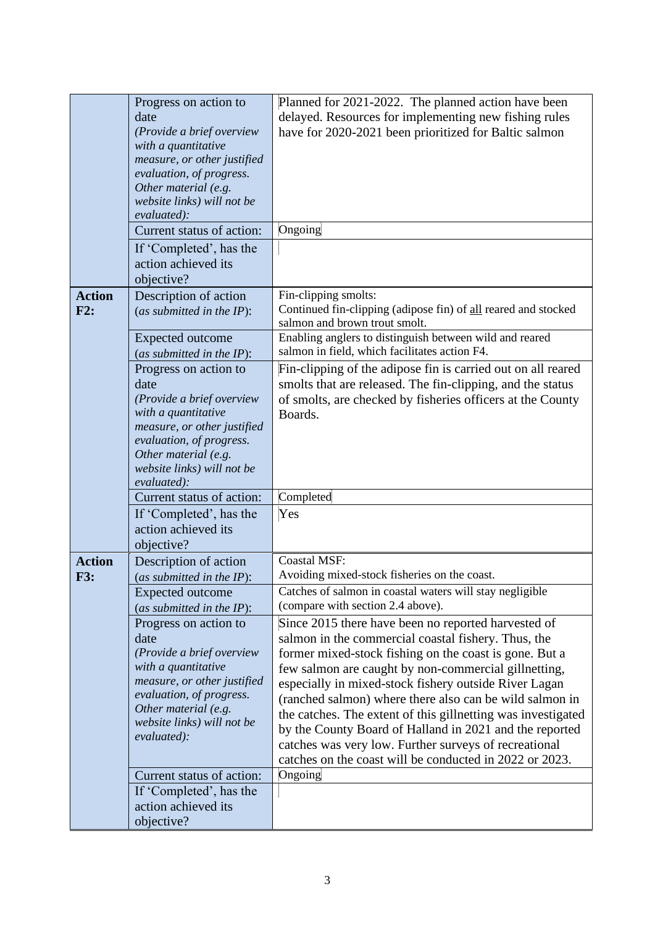|                             | Progress on action to                                   | Planned for 2021-2022. The planned action have been                                                              |
|-----------------------------|---------------------------------------------------------|------------------------------------------------------------------------------------------------------------------|
|                             | date                                                    | delayed. Resources for implementing new fishing rules                                                            |
|                             | (Provide a brief overview                               | have for 2020-2021 been prioritized for Baltic salmon                                                            |
|                             | with a quantitative                                     |                                                                                                                  |
|                             | measure, or other justified<br>evaluation, of progress. |                                                                                                                  |
|                             | Other material (e.g.                                    |                                                                                                                  |
|                             | website links) will not be                              |                                                                                                                  |
|                             | evaluated):                                             |                                                                                                                  |
|                             | Current status of action:                               | Ongoing                                                                                                          |
|                             | If 'Completed', has the                                 |                                                                                                                  |
|                             | action achieved its                                     |                                                                                                                  |
|                             | objective?                                              |                                                                                                                  |
| <b>Action</b>               | Description of action                                   | Fin-clipping smolts:                                                                                             |
| F2:                         | (as submitted in the $IP$ ):                            | Continued fin-clipping (adipose fin) of all reared and stocked<br>salmon and brown trout smolt.                  |
|                             | <b>Expected outcome</b>                                 | Enabling anglers to distinguish between wild and reared                                                          |
|                             | (as submitted in the IP):                               | salmon in field, which facilitates action F4.                                                                    |
|                             | Progress on action to                                   | Fin-clipping of the adipose fin is carried out on all reared                                                     |
|                             | date                                                    | smolts that are released. The fin-clipping, and the status                                                       |
|                             | (Provide a brief overview                               | of smolts, are checked by fisheries officers at the County                                                       |
|                             | with a quantitative                                     | Boards.                                                                                                          |
|                             | measure, or other justified<br>evaluation, of progress. |                                                                                                                  |
|                             | Other material (e.g.                                    |                                                                                                                  |
|                             | website links) will not be                              |                                                                                                                  |
|                             | evaluated):                                             |                                                                                                                  |
|                             | Current status of action:                               | Completed                                                                                                        |
|                             | If 'Completed', has the                                 | Yes                                                                                                              |
|                             | action achieved its                                     |                                                                                                                  |
|                             | objective?                                              | <b>Coastal MSF:</b>                                                                                              |
| <b>Action</b><br><b>F3:</b> | Description of action<br>(as submitted in the $IP$ ):   | Avoiding mixed-stock fisheries on the coast.                                                                     |
|                             | <b>Expected outcome</b>                                 | Catches of salmon in coastal waters will stay negligible                                                         |
|                             | (as submitted in the IP):                               | (compare with section 2.4 above).                                                                                |
|                             | Progress on action to                                   | Since 2015 there have been no reported harvested of                                                              |
|                             | date                                                    | salmon in the commercial coastal fishery. Thus, the                                                              |
|                             | (Provide a brief overview                               | former mixed-stock fishing on the coast is gone. But a                                                           |
|                             | with a quantitative                                     | few salmon are caught by non-commercial gillnetting,                                                             |
|                             | measure, or other justified<br>evaluation, of progress. | especially in mixed-stock fishery outside River Lagan                                                            |
|                             | Other material (e.g.                                    | (ranched salmon) where there also can be wild salmon in                                                          |
|                             | website links) will not be                              | the catches. The extent of this gillnetting was investigated                                                     |
|                             | evaluated):                                             | by the County Board of Halland in 2021 and the reported<br>catches was very low. Further surveys of recreational |
|                             |                                                         | catches on the coast will be conducted in 2022 or 2023.                                                          |
|                             | Current status of action:                               | Ongoing                                                                                                          |
|                             | If 'Completed', has the                                 |                                                                                                                  |
|                             | action achieved its                                     |                                                                                                                  |
|                             | objective?                                              |                                                                                                                  |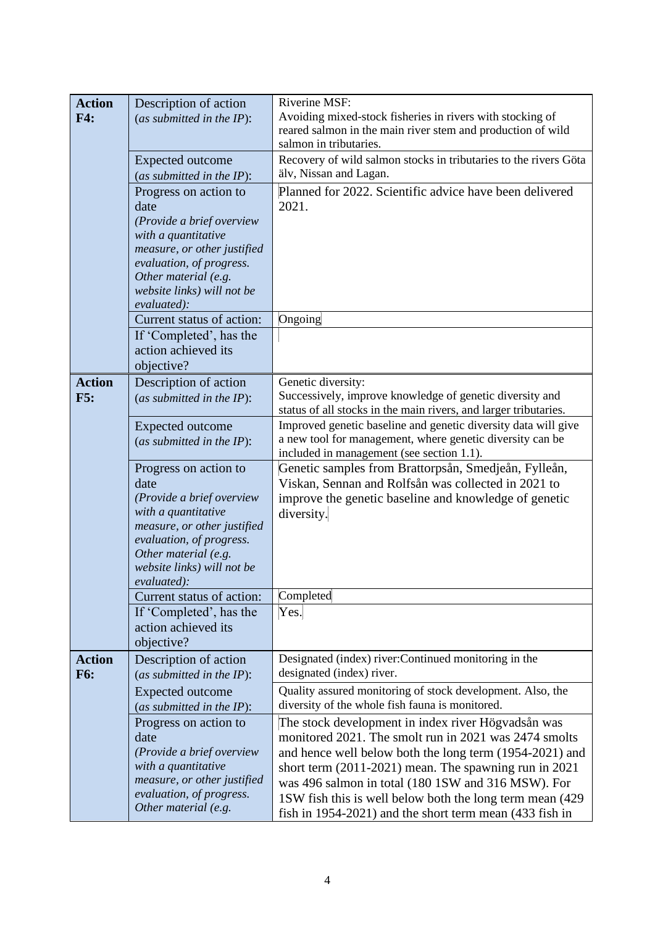| <b>Action</b> | Description of action                          | Riverine MSF:                                                                                     |
|---------------|------------------------------------------------|---------------------------------------------------------------------------------------------------|
| F4:           | (as submitted in the $IP$ ):                   | Avoiding mixed-stock fisheries in rivers with stocking of                                         |
|               |                                                | reared salmon in the main river stem and production of wild                                       |
|               |                                                | salmon in tributaries.                                                                            |
|               | <b>Expected outcome</b>                        | Recovery of wild salmon stocks in tributaries to the rivers Göta                                  |
|               | (as submitted in the $IP$ ):                   | älv, Nissan and Lagan.                                                                            |
|               | Progress on action to                          | Planned for 2022. Scientific advice have been delivered                                           |
|               | date                                           | 2021.                                                                                             |
|               | (Provide a brief overview                      |                                                                                                   |
|               | with a quantitative                            |                                                                                                   |
|               | measure, or other justified                    |                                                                                                   |
|               | evaluation, of progress.                       |                                                                                                   |
|               | Other material (e.g.                           |                                                                                                   |
|               | website links) will not be<br>evaluated):      |                                                                                                   |
|               | Current status of action:                      | Ongoing                                                                                           |
|               | If 'Completed', has the                        |                                                                                                   |
|               | action achieved its                            |                                                                                                   |
|               | objective?                                     |                                                                                                   |
| <b>Action</b> | Description of action                          | Genetic diversity:                                                                                |
| F5:           | (as submitted in the $IP$ ):                   | Successively, improve knowledge of genetic diversity and                                          |
|               |                                                | status of all stocks in the main rivers, and larger tributaries.                                  |
|               | <b>Expected outcome</b>                        | Improved genetic baseline and genetic diversity data will give                                    |
|               | (as submitted in the $IP$ ):                   | a new tool for management, where genetic diversity can be                                         |
|               |                                                | included in management (see section 1.1).<br>Genetic samples from Brattorpsån, Smedjeån, Fylleån, |
|               | Progress on action to<br>date                  | Viskan, Sennan and Rolfsån was collected in 2021 to                                               |
|               | (Provide a brief overview                      | improve the genetic baseline and knowledge of genetic                                             |
|               | with a quantitative                            | diversity.                                                                                        |
|               | measure, or other justified                    |                                                                                                   |
|               | evaluation, of progress.                       |                                                                                                   |
|               | Other material (e.g.                           |                                                                                                   |
|               | website links) will not be                     |                                                                                                   |
|               | evaluated):                                    |                                                                                                   |
|               | Current status of action:                      | Completed                                                                                         |
|               | If 'Completed', has the<br>action achieved its | Yes.                                                                                              |
|               | objective?                                     |                                                                                                   |
| <b>Action</b> | Description of action                          | Designated (index) river: Continued monitoring in the                                             |
| <b>F6:</b>    | (as submitted in the $IP$ ):                   | designated (index) river.                                                                         |
|               | <b>Expected outcome</b>                        | Quality assured monitoring of stock development. Also, the                                        |
|               | (as submitted in the $IP$ ):                   | diversity of the whole fish fauna is monitored.                                                   |
|               | Progress on action to                          | The stock development in index river Högvadsån was                                                |
|               | date                                           | monitored 2021. The smolt run in 2021 was 2474 smolts                                             |
|               | (Provide a brief overview                      | and hence well below both the long term (1954-2021) and                                           |
|               | with a quantitative                            | short term $(2011-2021)$ mean. The spawning run in $2021$                                         |
|               | measure, or other justified                    | was 496 salmon in total (180 1SW and 316 MSW). For                                                |
|               | evaluation, of progress.                       | 1SW fish this is well below both the long term mean (429)                                         |
|               | Other material (e.g.                           | fish in $1954-2021$ ) and the short term mean $(433$ fish in                                      |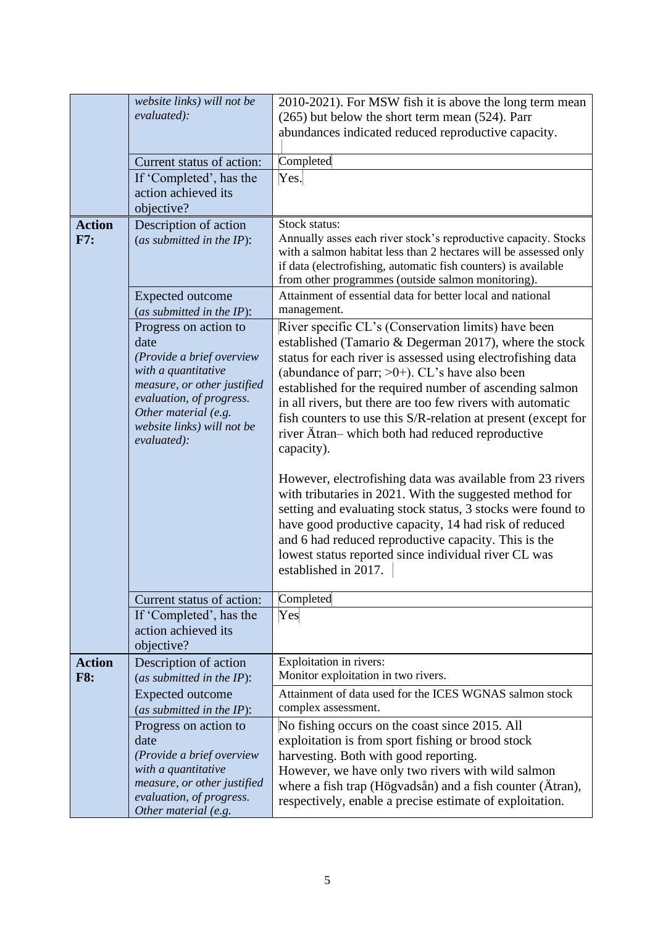|                             | website links) will not be<br>evaluated):<br>Current status of action:<br>If 'Completed', has the<br>action achieved its                                                                 | 2010-2021). For MSW fish it is above the long term mean<br>(265) but below the short term mean (524). Parr<br>abundances indicated reduced reproductive capacity.<br>Completed<br>Yes.                                                                                                                                                                                                                                                                                                                                                                       |
|-----------------------------|------------------------------------------------------------------------------------------------------------------------------------------------------------------------------------------|--------------------------------------------------------------------------------------------------------------------------------------------------------------------------------------------------------------------------------------------------------------------------------------------------------------------------------------------------------------------------------------------------------------------------------------------------------------------------------------------------------------------------------------------------------------|
| <b>Action</b><br>F7:        | objective?<br>Description of action<br>(as submitted in the $IP$ ):<br><b>Expected outcome</b><br>(as submitted in the IP):<br>Progress on action to                                     | Stock status:<br>Annually asses each river stock's reproductive capacity. Stocks<br>with a salmon habitat less than 2 hectares will be assessed only<br>if data (electrofishing, automatic fish counters) is available<br>from other programmes (outside salmon monitoring).<br>Attainment of essential data for better local and national<br>management.<br>River specific CL's (Conservation limits) have been                                                                                                                                             |
|                             | date<br>(Provide a brief overview<br>with a quantitative<br>measure, or other justified<br>evaluation, of progress.<br>Other material (e.g.<br>website links) will not be<br>evaluated): | established (Tamario & Degerman 2017), where the stock<br>status for each river is assessed using electrofishing data<br>(abundance of parr; $>0+$ ). CL's have also been<br>established for the required number of ascending salmon<br>in all rivers, but there are too few rivers with automatic<br>fish counters to use this S/R-relation at present (except for<br>river Atran-which both had reduced reproductive<br>capacity).<br>However, electrofishing data was available from 23 rivers<br>with tributaries in 2021. With the suggested method for |
|                             |                                                                                                                                                                                          | setting and evaluating stock status, 3 stocks were found to<br>have good productive capacity, 14 had risk of reduced<br>and 6 had reduced reproductive capacity. This is the<br>lowest status reported since individual river CL was<br>established in 2017.                                                                                                                                                                                                                                                                                                 |
|                             | Current status of action:<br>If 'Completed', has the<br>action achieved its<br>objective?                                                                                                | Completed<br>Yes                                                                                                                                                                                                                                                                                                                                                                                                                                                                                                                                             |
| <b>Action</b><br><b>F8:</b> | Description of action<br>(as submitted in the $IP$ ):<br><b>Expected outcome</b><br>(as submitted in the IP):                                                                            | Exploitation in rivers:<br>Monitor exploitation in two rivers.<br>Attainment of data used for the ICES WGNAS salmon stock<br>complex assessment.                                                                                                                                                                                                                                                                                                                                                                                                             |
|                             | Progress on action to<br>date<br>(Provide a brief overview<br>with a quantitative<br>measure, or other justified<br>evaluation, of progress.<br>Other material (e.g.                     | No fishing occurs on the coast since 2015. All<br>exploitation is from sport fishing or brood stock<br>harvesting. Both with good reporting.<br>However, we have only two rivers with wild salmon<br>where a fish trap (Högvadsån) and a fish counter (Atran),<br>respectively, enable a precise estimate of exploitation.                                                                                                                                                                                                                                   |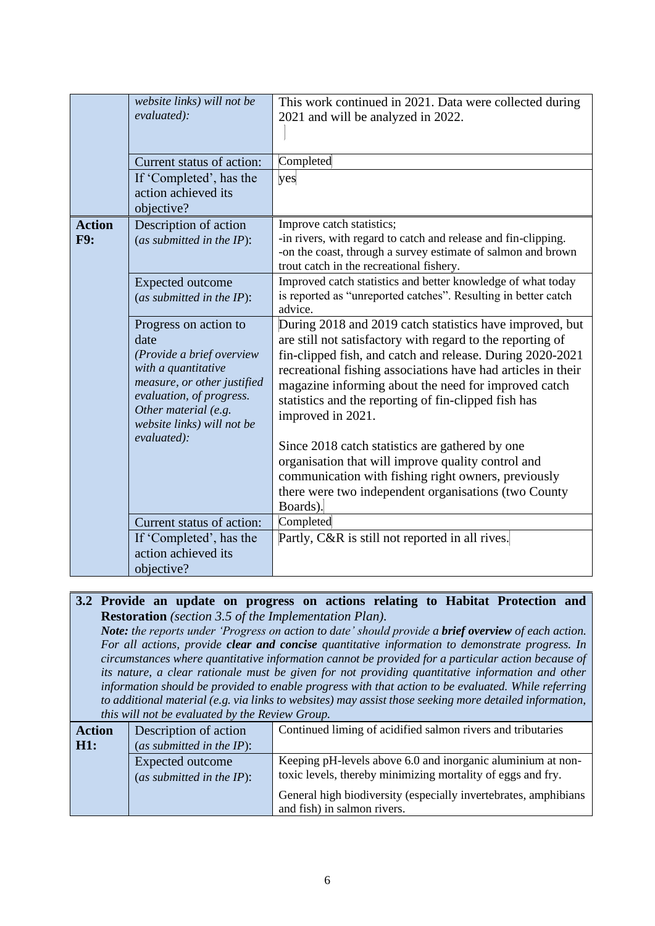|                             | website links) will not be<br>evaluated):<br>Current status of action:<br>If 'Completed', has the<br>action achieved its<br>objective?                                                                            | This work continued in 2021. Data were collected during<br>2021 and will be analyzed in 2022.<br>Completed<br>yes                                                                                                                                                                                                                                                                        |
|-----------------------------|-------------------------------------------------------------------------------------------------------------------------------------------------------------------------------------------------------------------|------------------------------------------------------------------------------------------------------------------------------------------------------------------------------------------------------------------------------------------------------------------------------------------------------------------------------------------------------------------------------------------|
| <b>Action</b><br><b>F9:</b> | Description of action<br>(as submitted in the $IP$ ):                                                                                                                                                             | Improve catch statistics;<br>-in rivers, with regard to catch and release and fin-clipping.<br>-on the coast, through a survey estimate of salmon and brown<br>trout catch in the recreational fishery.                                                                                                                                                                                  |
|                             | <b>Expected outcome</b><br>(as submitted in the $IP$ ):                                                                                                                                                           | Improved catch statistics and better knowledge of what today<br>is reported as "unreported catches". Resulting in better catch<br>advice.                                                                                                                                                                                                                                                |
|                             | Progress on action to<br>date<br>(Provide a brief overview<br>with a quantitative<br>measure, or other justified<br>evaluation, of progress.<br>Other material (e.g.<br>website links) will not be<br>evaluated): | During 2018 and 2019 catch statistics have improved, but<br>are still not satisfactory with regard to the reporting of<br>fin-clipped fish, and catch and release. During 2020-2021<br>recreational fishing associations have had articles in their<br>magazine informing about the need for improved catch<br>statistics and the reporting of fin-clipped fish has<br>improved in 2021. |
|                             |                                                                                                                                                                                                                   | Since 2018 catch statistics are gathered by one<br>organisation that will improve quality control and<br>communication with fishing right owners, previously<br>there were two independent organisations (two County<br>Boards).                                                                                                                                                         |
|                             | Current status of action:                                                                                                                                                                                         | Completed                                                                                                                                                                                                                                                                                                                                                                                |
|                             | If 'Completed', has the<br>action achieved its<br>objective?                                                                                                                                                      | Partly, C&R is still not reported in all rives.                                                                                                                                                                                                                                                                                                                                          |

# **3.2 Provide an update on progress on actions relating to Habitat Protection and Restoration** *(section 3.5 of the Implementation Plan).*

*Note: the reports under 'Progress on action to date' should provide a brief overview of each action. For all actions, provide clear and concise quantitative information to demonstrate progress. In circumstances where quantitative information cannot be provided for a particular action because of its nature, a clear rationale must be given for not providing quantitative information and other information should be provided to enable progress with that action to be evaluated. While referring to additional material (e.g. via links to websites) may assist those seeking more detailed information, this will not be evaluated by the Review Group.*

| <b>Action</b> | Description of action                            | Continued liming of acidified salmon rivers and tributaries                                                                |
|---------------|--------------------------------------------------|----------------------------------------------------------------------------------------------------------------------------|
| H1:           | (as submitted in the $IP$ ):                     |                                                                                                                            |
|               | Expected outcome<br>(as submitted in the $IP$ ): | Keeping pH-levels above 6.0 and inorganic aluminium at non-<br>toxic levels, thereby minimizing mortality of eggs and fry. |
|               |                                                  | General high biodiversity (especially invertebrates, amphibians<br>and fish) in salmon rivers.                             |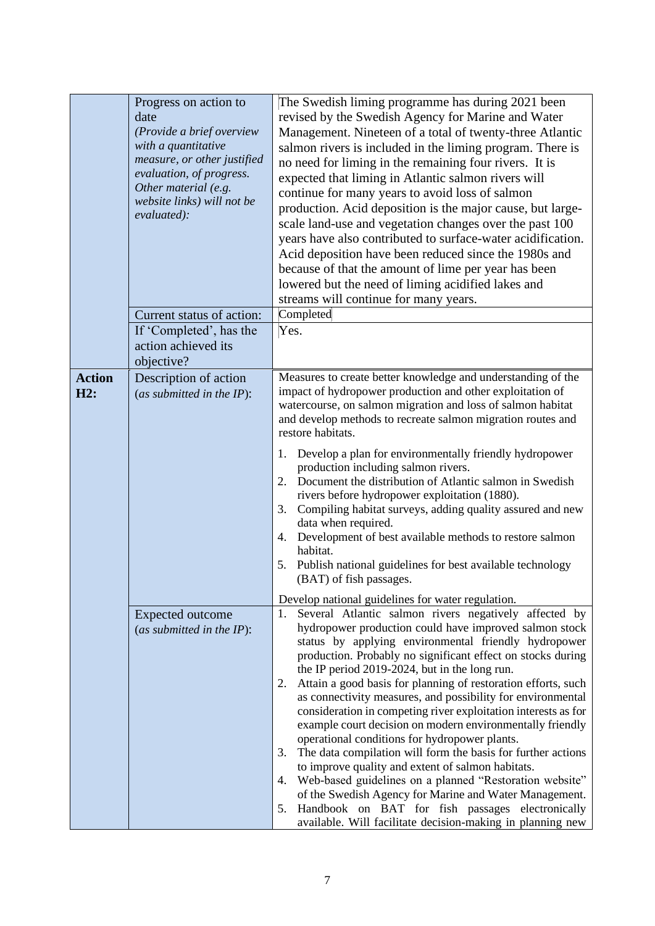|                      | Progress on action to<br>date<br>(Provide a brief overview<br>with a quantitative<br>measure, or other justified<br>evaluation, of progress.<br>Other material (e.g.<br>website links) will not be<br>evaluated): | The Swedish liming programme has during 2021 been<br>revised by the Swedish Agency for Marine and Water<br>Management. Nineteen of a total of twenty-three Atlantic<br>salmon rivers is included in the liming program. There is<br>no need for liming in the remaining four rivers. It is<br>expected that liming in Atlantic salmon rivers will<br>continue for many years to avoid loss of salmon<br>production. Acid deposition is the major cause, but large-<br>scale land-use and vegetation changes over the past 100<br>years have also contributed to surface-water acidification.<br>Acid deposition have been reduced since the 1980s and<br>because of that the amount of lime per year has been<br>lowered but the need of liming acidified lakes and<br>streams will continue for many years.                                                                                                                                                                                      |
|----------------------|-------------------------------------------------------------------------------------------------------------------------------------------------------------------------------------------------------------------|---------------------------------------------------------------------------------------------------------------------------------------------------------------------------------------------------------------------------------------------------------------------------------------------------------------------------------------------------------------------------------------------------------------------------------------------------------------------------------------------------------------------------------------------------------------------------------------------------------------------------------------------------------------------------------------------------------------------------------------------------------------------------------------------------------------------------------------------------------------------------------------------------------------------------------------------------------------------------------------------------|
|                      | Current status of action:<br>If 'Completed', has the<br>action achieved its<br>objective?                                                                                                                         | Completed<br>Yes.                                                                                                                                                                                                                                                                                                                                                                                                                                                                                                                                                                                                                                                                                                                                                                                                                                                                                                                                                                                 |
| <b>Action</b><br>H2: | Description of action<br>(as submitted in the $IP$ ):                                                                                                                                                             | Measures to create better knowledge and understanding of the<br>impact of hydropower production and other exploitation of<br>watercourse, on salmon migration and loss of salmon habitat<br>and develop methods to recreate salmon migration routes and<br>restore habitats.<br>Develop a plan for environmentally friendly hydropower<br>1.<br>production including salmon rivers.<br>Document the distribution of Atlantic salmon in Swedish<br>2.<br>rivers before hydropower exploitation (1880).<br>3.<br>Compiling habitat surveys, adding quality assured and new<br>data when required.<br>Development of best available methods to restore salmon<br>4.<br>habitat.<br>5.<br>Publish national guidelines for best available technology<br>(BAT) of fish passages.<br>Develop national guidelines for water regulation.                                                                                                                                                                   |
|                      | Expected outcome<br>(as submitted in the $IP$ ):                                                                                                                                                                  | Several Atlantic salmon rivers negatively affected by<br>1.<br>hydropower production could have improved salmon stock<br>status by applying environmental friendly hydropower<br>production. Probably no significant effect on stocks during<br>the IP period 2019-2024, but in the long run.<br>Attain a good basis for planning of restoration efforts, such<br>2.<br>as connectivity measures, and possibility for environmental<br>consideration in competing river exploitation interests as for<br>example court decision on modern environmentally friendly<br>operational conditions for hydropower plants.<br>The data compilation will form the basis for further actions<br>3.<br>to improve quality and extent of salmon habitats.<br>Web-based guidelines on a planned "Restoration website"<br>4.<br>of the Swedish Agency for Marine and Water Management.<br>Handbook on BAT for fish passages electronically<br>5.<br>available. Will facilitate decision-making in planning new |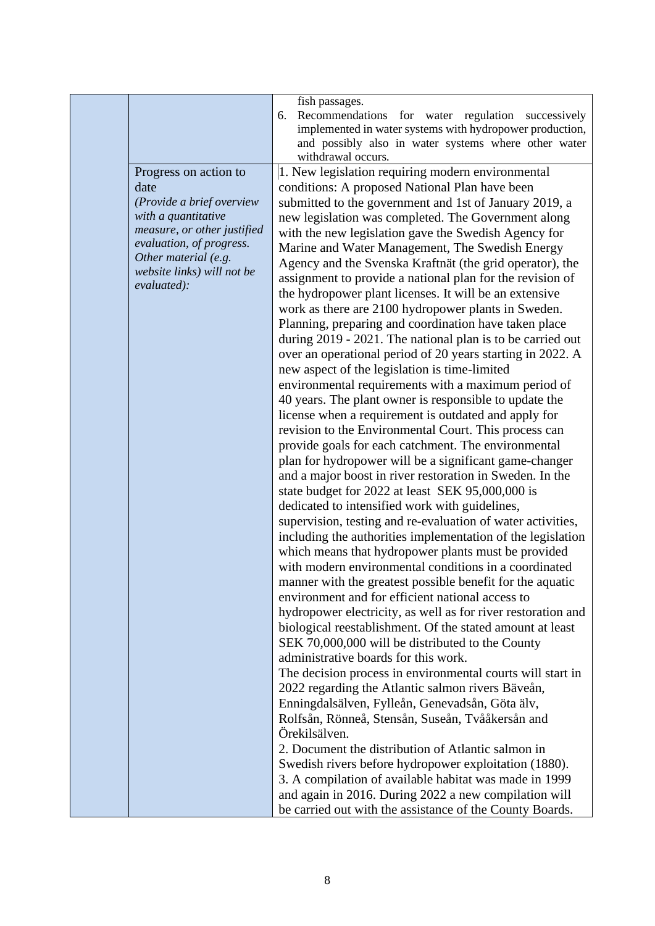|                                                                                                                                                                                                                   | fish passages.<br>Recommendations for water regulation successively<br>6.<br>implemented in water systems with hydropower production,<br>and possibly also in water systems where other water<br>withdrawal occurs.                                                                                                                                                                                                                                                                                                                                                                                                                                                                                                                                                                                                                                                                                                                                                                                                                                                                                                                                                                                                                                                                                                                                                                                                                                                                                                                                                                                                                                                                                                                                                                                                                                                                                                                                                                                                                                                                                                                                                                                                           |
|-------------------------------------------------------------------------------------------------------------------------------------------------------------------------------------------------------------------|-------------------------------------------------------------------------------------------------------------------------------------------------------------------------------------------------------------------------------------------------------------------------------------------------------------------------------------------------------------------------------------------------------------------------------------------------------------------------------------------------------------------------------------------------------------------------------------------------------------------------------------------------------------------------------------------------------------------------------------------------------------------------------------------------------------------------------------------------------------------------------------------------------------------------------------------------------------------------------------------------------------------------------------------------------------------------------------------------------------------------------------------------------------------------------------------------------------------------------------------------------------------------------------------------------------------------------------------------------------------------------------------------------------------------------------------------------------------------------------------------------------------------------------------------------------------------------------------------------------------------------------------------------------------------------------------------------------------------------------------------------------------------------------------------------------------------------------------------------------------------------------------------------------------------------------------------------------------------------------------------------------------------------------------------------------------------------------------------------------------------------------------------------------------------------------------------------------------------------|
| Progress on action to<br>date<br>(Provide a brief overview<br>with a quantitative<br>measure, or other justified<br>evaluation, of progress.<br>Other material (e.g.<br>website links) will not be<br>evaluated): | 1. New legislation requiring modern environmental<br>conditions: A proposed National Plan have been<br>submitted to the government and 1st of January 2019, a<br>new legislation was completed. The Government along<br>with the new legislation gave the Swedish Agency for<br>Marine and Water Management, The Swedish Energy<br>Agency and the Svenska Kraftnät (the grid operator), the<br>assignment to provide a national plan for the revision of<br>the hydropower plant licenses. It will be an extensive<br>work as there are 2100 hydropower plants in Sweden.<br>Planning, preparing and coordination have taken place<br>during 2019 - 2021. The national plan is to be carried out<br>over an operational period of 20 years starting in 2022. A<br>new aspect of the legislation is time-limited<br>environmental requirements with a maximum period of<br>40 years. The plant owner is responsible to update the<br>license when a requirement is outdated and apply for<br>revision to the Environmental Court. This process can<br>provide goals for each catchment. The environmental<br>plan for hydropower will be a significant game-changer<br>and a major boost in river restoration in Sweden. In the<br>state budget for 2022 at least SEK 95,000,000 is<br>dedicated to intensified work with guidelines,<br>supervision, testing and re-evaluation of water activities,<br>including the authorities implementation of the legislation<br>which means that hydropower plants must be provided<br>with modern environmental conditions in a coordinated<br>manner with the greatest possible benefit for the aquatic<br>environment and for efficient national access to<br>hydropower electricity, as well as for river restoration and<br>biological reestablishment. Of the stated amount at least<br>SEK 70,000,000 will be distributed to the County<br>administrative boards for this work.<br>The decision process in environmental courts will start in<br>2022 regarding the Atlantic salmon rivers Bäveån,<br>Enningdalsälven, Fylleån, Genevadsån, Göta älv,<br>Rolfsån, Rönneå, Stensån, Suseån, Tvååkersån and<br>Örekilsälven.<br>2. Document the distribution of Atlantic salmon in |
|                                                                                                                                                                                                                   | Swedish rivers before hydropower exploitation (1880).<br>3. A compilation of available habitat was made in 1999<br>and again in 2016. During 2022 a new compilation will<br>be carried out with the assistance of the County Boards.                                                                                                                                                                                                                                                                                                                                                                                                                                                                                                                                                                                                                                                                                                                                                                                                                                                                                                                                                                                                                                                                                                                                                                                                                                                                                                                                                                                                                                                                                                                                                                                                                                                                                                                                                                                                                                                                                                                                                                                          |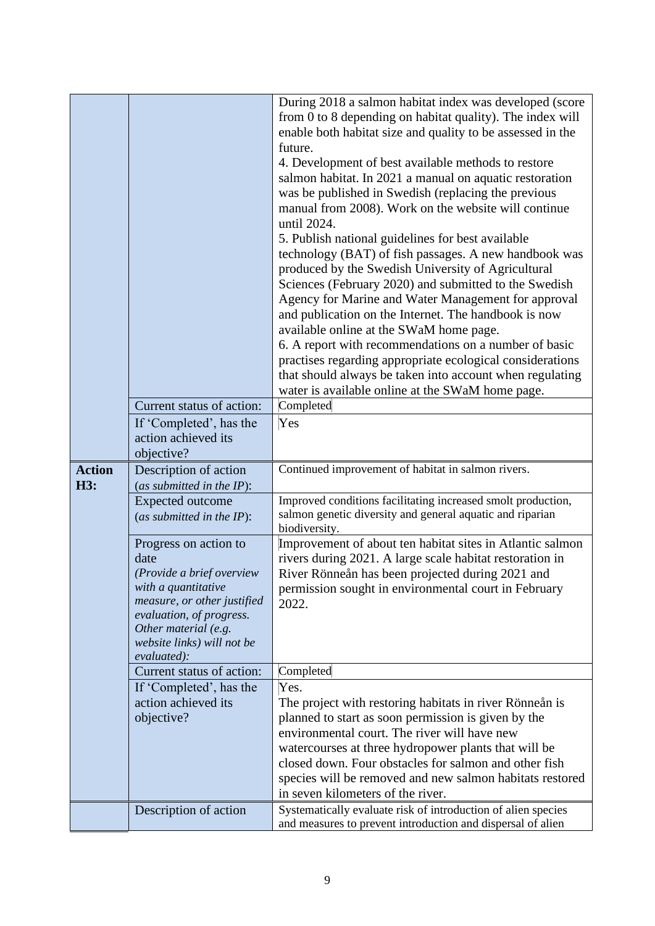|               |                                                | During 2018 a salmon habitat index was developed (score                                             |
|---------------|------------------------------------------------|-----------------------------------------------------------------------------------------------------|
|               |                                                | from 0 to 8 depending on habitat quality). The index will                                           |
|               |                                                | enable both habitat size and quality to be assessed in the                                          |
|               |                                                | future.                                                                                             |
|               |                                                | 4. Development of best available methods to restore                                                 |
|               |                                                | salmon habitat. In 2021 a manual on aquatic restoration                                             |
|               |                                                |                                                                                                     |
|               |                                                | was be published in Swedish (replacing the previous                                                 |
|               |                                                | manual from 2008). Work on the website will continue<br>until 2024.                                 |
|               |                                                |                                                                                                     |
|               |                                                | 5. Publish national guidelines for best available                                                   |
|               |                                                | technology (BAT) of fish passages. A new handbook was                                               |
|               |                                                | produced by the Swedish University of Agricultural                                                  |
|               |                                                | Sciences (February 2020) and submitted to the Swedish                                               |
|               |                                                | Agency for Marine and Water Management for approval                                                 |
|               |                                                | and publication on the Internet. The handbook is now                                                |
|               |                                                | available online at the SWaM home page.<br>6. A report with recommendations on a number of basic    |
|               |                                                | practises regarding appropriate ecological considerations                                           |
|               |                                                | that should always be taken into account when regulating                                            |
|               |                                                | water is available online at the SWaM home page.                                                    |
|               | Current status of action:                      | Completed                                                                                           |
|               | If 'Completed', has the                        | Yes                                                                                                 |
|               | action achieved its                            |                                                                                                     |
|               | objective?                                     |                                                                                                     |
|               |                                                |                                                                                                     |
|               |                                                |                                                                                                     |
| <b>Action</b> | Description of action                          | Continued improvement of habitat in salmon rivers.                                                  |
| H3:           | (as submitted in the $IP$ ):                   |                                                                                                     |
|               | <b>Expected outcome</b>                        | Improved conditions facilitating increased smolt production,                                        |
|               | (as submitted in the $IP$ ):                   | salmon genetic diversity and general aquatic and riparian                                           |
|               | Progress on action to                          | biodiversity.<br>Improvement of about ten habitat sites in Atlantic salmon                          |
|               | date                                           | rivers during 2021. A large scale habitat restoration in                                            |
|               | (Provide a brief overview                      | River Rönneån has been projected during 2021 and                                                    |
|               | with a quantitative                            | permission sought in environmental court in February                                                |
|               | measure, or other justified                    | 2022.                                                                                               |
|               | evaluation, of progress.                       |                                                                                                     |
|               | Other material (e.g.                           |                                                                                                     |
|               | website links) will not be                     |                                                                                                     |
|               | evaluated):                                    |                                                                                                     |
|               | Current status of action:                      | Completed                                                                                           |
|               | If 'Completed', has the<br>action achieved its | Yes.                                                                                                |
|               | objective?                                     | The project with restoring habitats in river Rönneån is                                             |
|               |                                                | planned to start as soon permission is given by the<br>environmental court. The river will have new |
|               |                                                | watercourses at three hydropower plants that will be                                                |
|               |                                                | closed down. Four obstacles for salmon and other fish                                               |
|               |                                                | species will be removed and new salmon habitats restored                                            |
|               |                                                | in seven kilometers of the river.                                                                   |
|               | Description of action                          | Systematically evaluate risk of introduction of alien species                                       |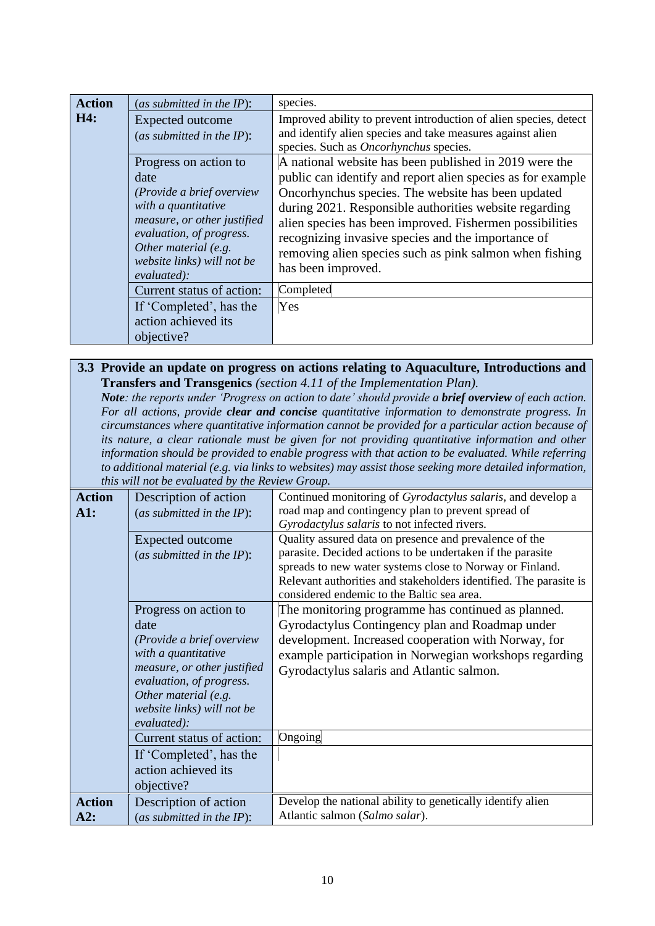| <b>Action</b> | (as submitted in the IP):                                                                                                                                                                                         | species.                                                                                                                                                                                                                                                                                                                                                                                                                                 |
|---------------|-------------------------------------------------------------------------------------------------------------------------------------------------------------------------------------------------------------------|------------------------------------------------------------------------------------------------------------------------------------------------------------------------------------------------------------------------------------------------------------------------------------------------------------------------------------------------------------------------------------------------------------------------------------------|
| H4:           | Expected outcome<br>(as submitted in the $IP$ ):                                                                                                                                                                  | Improved ability to prevent introduction of alien species, detect<br>and identify alien species and take measures against alien<br>species. Such as <i>Oncorhynchus</i> species.                                                                                                                                                                                                                                                         |
|               | Progress on action to<br>date<br>(Provide a brief overview<br>with a quantitative<br>measure, or other justified<br>evaluation, of progress.<br>Other material (e.g.<br>website links) will not be<br>evaluated): | A national website has been published in 2019 were the<br>public can identify and report alien species as for example<br>Oncorhynchus species. The website has been updated<br>during 2021. Responsible authorities website regarding<br>alien species has been improved. Fishermen possibilities<br>recognizing invasive species and the importance of<br>removing alien species such as pink salmon when fishing<br>has been improved. |
|               | Current status of action:<br>If 'Completed', has the<br>action achieved its<br>objective?                                                                                                                         | Completed<br>Yes                                                                                                                                                                                                                                                                                                                                                                                                                         |

#### **3.3 Provide an update on progress on actions relating to Aquaculture, Introductions and Transfers and Transgenics** *(section 4.11 of the Implementation Plan). Note: the reports under 'Progress on action to date' should provide a brief overview of each action. For all actions, provide clear and concise quantitative information to demonstrate progress. In circumstances where quantitative information cannot be provided for a particular action because of its nature, a clear rationale must be given for not providing quantitative information and other*

*information should be provided to enable progress with that action to be evaluated. While referring to additional material (e.g. via links to websites) may assist those seeking more detailed information, this will not be evaluated by the Review Group.*

| <b>Action</b><br>$\mathbf{A}1$ : | Description of action<br>(as submitted in the $IP$ ):<br>Expected outcome<br>(as submitted in the $IP$ ):                                                                                                         | Continued monitoring of Gyrodactylus salaris, and develop a<br>road map and contingency plan to prevent spread of<br>Gyrodactylus salaris to not infected rivers.<br>Quality assured data on presence and prevalence of the<br>parasite. Decided actions to be undertaken if the parasite<br>spreads to new water systems close to Norway or Finland.<br>Relevant authorities and stakeholders identified. The parasite is |
|----------------------------------|-------------------------------------------------------------------------------------------------------------------------------------------------------------------------------------------------------------------|----------------------------------------------------------------------------------------------------------------------------------------------------------------------------------------------------------------------------------------------------------------------------------------------------------------------------------------------------------------------------------------------------------------------------|
|                                  | Progress on action to<br>date<br>(Provide a brief overview<br>with a quantitative<br>measure, or other justified<br>evaluation, of progress.<br>Other material (e.g.<br>website links) will not be<br>evaluated): | considered endemic to the Baltic sea area.<br>The monitoring programme has continued as planned.<br>Gyrodactylus Contingency plan and Roadmap under<br>development. Increased cooperation with Norway, for<br>example participation in Norwegian workshops regarding<br>Gyrodactylus salaris and Atlantic salmon.                                                                                                          |
|                                  | Current status of action:<br>If 'Completed', has the<br>action achieved its<br>objective?                                                                                                                         | Ongoing                                                                                                                                                                                                                                                                                                                                                                                                                    |
| <b>Action</b><br>A2:             | Description of action<br>(as submitted in the $IP$ ):                                                                                                                                                             | Develop the national ability to genetically identify alien<br>Atlantic salmon (Salmo salar).                                                                                                                                                                                                                                                                                                                               |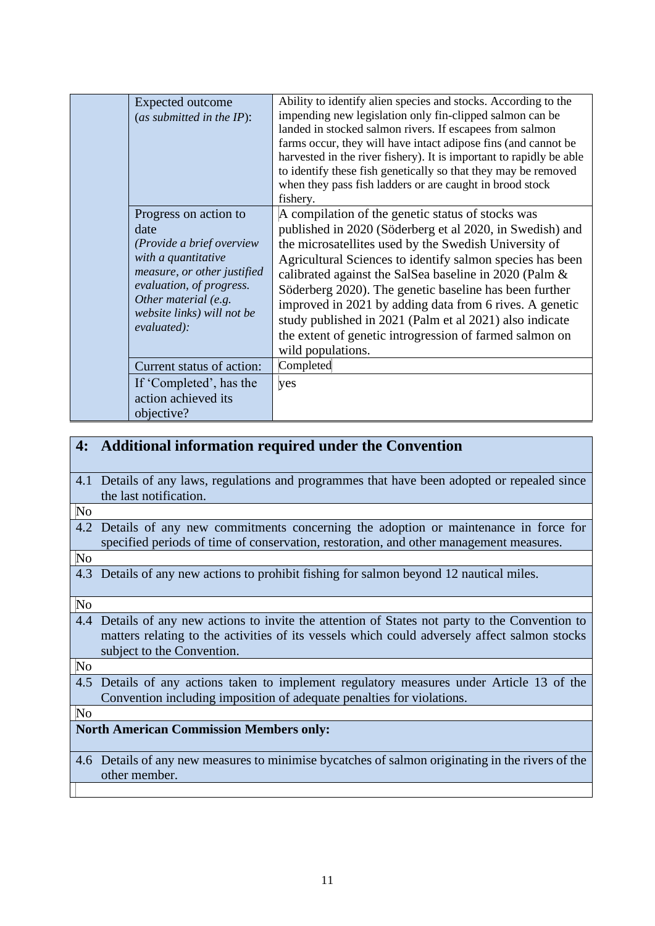| Expected outcome<br>(as submitted in the $IP$ ):                                                                                                                                                                  | Ability to identify alien species and stocks. According to the<br>impending new legislation only fin-clipped salmon can be<br>landed in stocked salmon rivers. If escapees from salmon<br>farms occur, they will have intact adipose fins (and cannot be<br>harvested in the river fishery). It is important to rapidly be able<br>to identify these fish genetically so that they may be removed<br>when they pass fish ladders or are caught in brood stock<br>fishery.                                                                                     |
|-------------------------------------------------------------------------------------------------------------------------------------------------------------------------------------------------------------------|---------------------------------------------------------------------------------------------------------------------------------------------------------------------------------------------------------------------------------------------------------------------------------------------------------------------------------------------------------------------------------------------------------------------------------------------------------------------------------------------------------------------------------------------------------------|
| Progress on action to<br>date<br>(Provide a brief overview<br>with a quantitative<br>measure, or other justified<br>evaluation, of progress.<br>Other material (e.g.<br>website links) will not be<br>evaluated): | A compilation of the genetic status of stocks was<br>published in 2020 (Söderberg et al 2020, in Swedish) and<br>the microsatellites used by the Swedish University of<br>Agricultural Sciences to identify salmon species has been<br>calibrated against the SalSea baseline in 2020 (Palm &<br>Söderberg 2020). The genetic baseline has been further<br>improved in 2021 by adding data from 6 rives. A genetic<br>study published in 2021 (Palm et al 2021) also indicate<br>the extent of genetic introgression of farmed salmon on<br>wild populations. |
| Current status of action:                                                                                                                                                                                         | Completed                                                                                                                                                                                                                                                                                                                                                                                                                                                                                                                                                     |
| If 'Completed', has the<br>action achieved its<br>objective?                                                                                                                                                      | yes                                                                                                                                                                                                                                                                                                                                                                                                                                                                                                                                                           |

| 4:                                             | <b>Additional information required under the Convention</b>                                                                                                                                                                   |  |
|------------------------------------------------|-------------------------------------------------------------------------------------------------------------------------------------------------------------------------------------------------------------------------------|--|
| 4.1                                            | Details of any laws, regulations and programmes that have been adopted or repealed since<br>the last notification.                                                                                                            |  |
| $\overline{\text{No}}$                         |                                                                                                                                                                                                                               |  |
| 4.2                                            | Details of any new commitments concerning the adoption or maintenance in force for<br>specified periods of time of conservation, restoration, and other management measures.                                                  |  |
| N <sub>o</sub>                                 |                                                                                                                                                                                                                               |  |
| 4.3                                            | Details of any new actions to prohibit fishing for salmon beyond 12 nautical miles.                                                                                                                                           |  |
| N <sub>o</sub>                                 |                                                                                                                                                                                                                               |  |
|                                                | 4.4 Details of any new actions to invite the attention of States not party to the Convention to<br>matters relating to the activities of its vessels which could adversely affect salmon stocks<br>subject to the Convention. |  |
| N <sub>o</sub>                                 |                                                                                                                                                                                                                               |  |
| 4.5                                            | Details of any actions taken to implement regulatory measures under Article 13 of the<br>Convention including imposition of adequate penalties for violations.                                                                |  |
| N <sub>o</sub>                                 |                                                                                                                                                                                                                               |  |
| <b>North American Commission Members only:</b> |                                                                                                                                                                                                                               |  |
|                                                | 4.6 Details of any new measures to minimise by catches of salmon originating in the rivers of the<br>other member.                                                                                                            |  |
|                                                |                                                                                                                                                                                                                               |  |